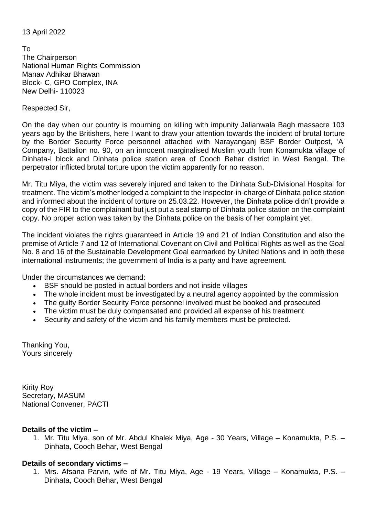#### 13 April 2022

To The Chairperson National Human Rights Commission Manav Adhikar Bhawan Block- C, GPO Complex, INA New Delhi- 110023

### Respected Sir,

On the day when our country is mourning on killing with impunity Jalianwala Bagh massacre 103 years ago by the Britishers, here I want to draw your attention towards the incident of brutal torture by the Border Security Force personnel attached with Narayanganj BSF Border Outpost, 'A' Company, Battalion no. 90, on an innocent marginalised Muslim youth from Konamukta village of Dinhata-I block and Dinhata police station area of Cooch Behar district in West Bengal. The perpetrator inflicted brutal torture upon the victim apparently for no reason.

Mr. Titu Miya, the victim was severely injured and taken to the Dinhata Sub-Divisional Hospital for treatment. The victim's mother lodged a complaint to the Inspector-in-charge of Dinhata police station and informed about the incident of torture on 25.03.22. However, the Dinhata police didn't provide a copy of the FIR to the complainant but just put a seal stamp of Dinhata police station on the complaint copy. No proper action was taken by the Dinhata police on the basis of her complaint yet.

The incident violates the rights guaranteed in Article 19 and 21 of Indian Constitution and also the premise of Article 7 and 12 of International Covenant on Civil and Political Rights as well as the Goal No. 8 and 16 of the Sustainable Development Goal earmarked by United Nations and in both these international instruments; the government of India is a party and have agreement.

Under the circumstances we demand:

- BSF should be posted in actual borders and not inside villages
- The whole incident must be investigated by a neutral agency appointed by the commission
- The guilty Border Security Force personnel involved must be booked and prosecuted
- The victim must be duly compensated and provided all expense of his treatment
- Security and safety of the victim and his family members must be protected.

Thanking You, Yours sincerely

Kirity Roy Secretary, MASUM National Convener, PACTI

# **Details of the victim –**

1. Mr. Titu Miya, son of Mr. Abdul Khalek Miya, Age - 30 Years, Village – Konamukta, P.S. – Dinhata, Cooch Behar, West Bengal

# **Details of secondary victims –**

1. Mrs. Afsana Parvin, wife of Mr. Titu Miya, Age - 19 Years, Village – Konamukta, P.S. – Dinhata, Cooch Behar, West Bengal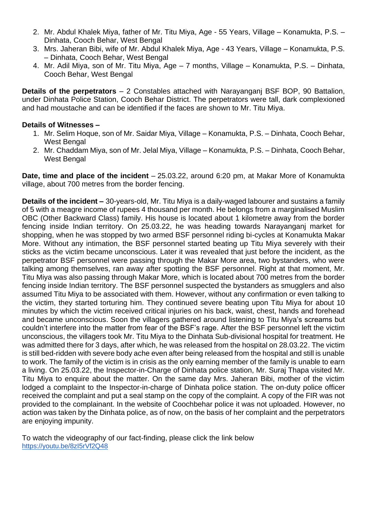- 2. Mr. Abdul Khalek Miya, father of Mr. Titu Miya, Age 55 Years, Village Konamukta, P.S. Dinhata, Cooch Behar, West Bengal
- 3. Mrs. Jaheran Bibi, wife of Mr. Abdul Khalek Miya, Age 43 Years, Village Konamukta, P.S. – Dinhata, Cooch Behar, West Bengal
- 4. Mr. Adil Miya, son of Mr. Titu Miya, Age 7 months, Village Konamukta, P.S. Dinhata, Cooch Behar, West Bengal

**Details of the perpetrators** – 2 Constables attached with Narayanganj BSF BOP, 90 Battalion, under Dinhata Police Station, Cooch Behar District. The perpetrators were tall, dark complexioned and had moustache and can be identified if the faces are shown to Mr. Titu Miya.

### **Details of Witnesses –**

- 1. Mr. Selim Hoque, son of Mr. Saidar Miya, Village Konamukta, P.S. Dinhata, Cooch Behar, West Bengal
- 2. Mr. Chaddam Miya, son of Mr. Jelal Miya, Village Konamukta, P.S. Dinhata, Cooch Behar, West Bengal

**Date, time and place of the incident** – 25.03.22, around 6:20 pm, at Makar More of Konamukta village, about 700 metres from the border fencing.

**Details of the incident –** 30-years-old, Mr. Titu Miya is a daily-waged labourer and sustains a family of 5 with a meagre income of rupees 4 thousand per month. He belongs from a marginalised Muslim OBC (Other Backward Class) family. His house is located about 1 kilometre away from the border fencing inside Indian territory. On 25.03.22, he was heading towards Narayanganj market for shopping, when he was stopped by two armed BSF personnel riding bi-cycles at Konamukta Makar More. Without any intimation, the BSF personnel started beating up Titu Miya severely with their sticks as the victim became unconscious. Later it was revealed that just before the incident, as the perpetrator BSF personnel were passing through the Makar More area, two bystanders, who were talking among themselves, ran away after spotting the BSF personnel. Right at that moment, Mr. Titu Miya was also passing through Makar More, which is located about 700 metres from the border fencing inside Indian territory. The BSF personnel suspected the bystanders as smugglers and also assumed Titu Miya to be associated with them. However, without any confirmation or even talking to the victim, they started torturing him. They continued severe beating upon Titu Miya for about 10 minutes by which the victim received critical injuries on his back, waist, chest, hands and forehead and became unconscious. Soon the villagers gathered around listening to Titu Miya's screams but couldn't interfere into the matter from fear of the BSF's rage. After the BSF personnel left the victim unconscious, the villagers took Mr. Titu Miya to the Dinhata Sub-divisional hospital for treatment. He was admitted there for 3 days, after which, he was released from the hospital on 28.03.22. The victim is still bed-ridden with severe body ache even after being released from the hospital and still is unable to work. The family of the victim is in crisis as the only earning member of the family is unable to earn a living. On 25.03.22, the Inspector-in-Charge of Dinhata police station, Mr. Suraj Thapa visited Mr. Titu Miya to enquire about the matter. On the same day Mrs. Jaheran Bibi, mother of the victim lodged a complaint to the Inspector-in-charge of Dinhata police station. The on-duty police officer received the complaint and put a seal stamp on the copy of the complaint. A copy of the FIR was not provided to the complainant. In the website of Coochbehar police it was not uploaded. However, no action was taken by the Dinhata police, as of now, on the basis of her complaint and the perpetrators are enjoying impunity.

To watch the videography of our fact-finding, please click the link below <https://youtu.be/8zI5rVf2Q48>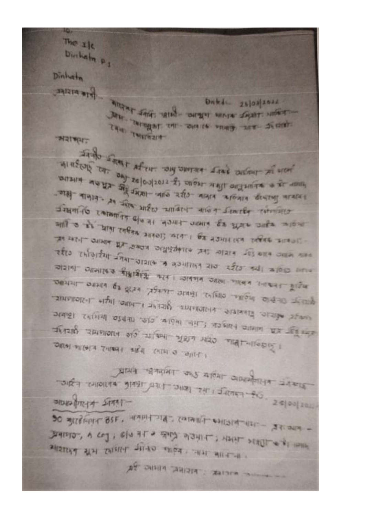The sic **Dinham P.** 

Dinhatn

**THRITER** 

Altr. Terragar THI DIS (4 PRES 2018 5 DRE) EAND TWINTERT

Taylor Sitest Afran Day Davrage State Definer A work MINERAL CONTRACT AT THE SHIPPING STATE SHOWS & RE-HOME DITSILE MONTH STATE - 400 220 MONTH AND ONE CONTINENT and their is the surfer ander when finder comment JENNIO TARMET GIVAI NOUT ORAIN ES SURE DIES MON ant o et any refer anon are i fa assurire refer anon AND PAGE PIETO DEL PIETO DEL PORTO PORTO DE PIETO CON PA  $250$  This 1241 - 1214-21214 > 32417159 210 220 441 2100 1100 SIZIAI DENICE O RISTANTE ACEI SIENE DEN PIENE ZIELE DIE DENTIL DENIS ON THE THERE THERE FREE AND THERE ARTIC FIELD STATES AND MOTOR SERVICE INTO INTO 1-3120 25400 STATES TATION OSEN L'AIGNI HALL' ADENY CINE ET LES परिवर्ता उपाणागान अठ आफिना भूशन मारे माता नाकिए ORAI PUGE 4 THEY I FORM FORM PORCH

SINA START OUT ARAL OINFRIA SARES JURY CHOICES JARI ART JURY 74 1 JEAN-40.  $\frac{1}{2}$ 

SO SITEMET BSF, HAMIT HAS TARMET WHEN HER - AT OUR -JOHNS, A COJ, GIO AT & THE AJAIL ; HANT MAUT & VI IPH SHERRY ALL CHINE SHARD SHOW I WAS MILLED

AP DININ TARRE MINE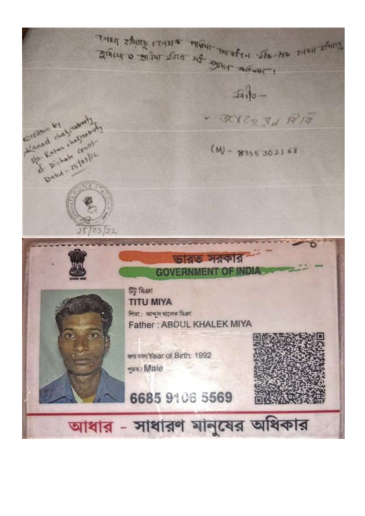THERE S WITH THE STATE THE CHEWETER SER-HE THEIR ENDS STAIN O STAIN STAT AS BUNK ANNOUNCE  $5410 -$ Manad classication of the Management FIEL PEGSAR **Curriton VT**  $(M) - 8355302168$ 313505 **GOVERNMENT OF INDI** টিট মিঞা **TITU MIYA** পিতা: আব্দুল থালেক মিঞা **Father: ABDUL KHALEK MIYA** क्षम शन/Year of Birth: 1992 BFT/Male 6685 9106 5569 আধার - সাধারণ মানুষের অধিকার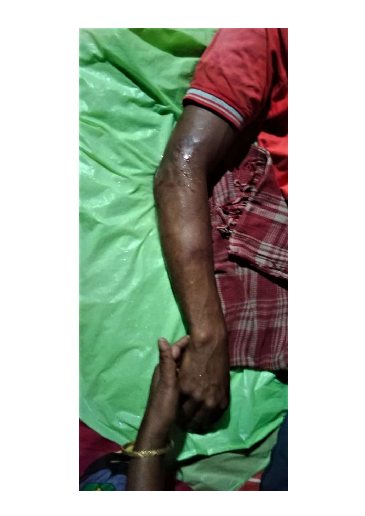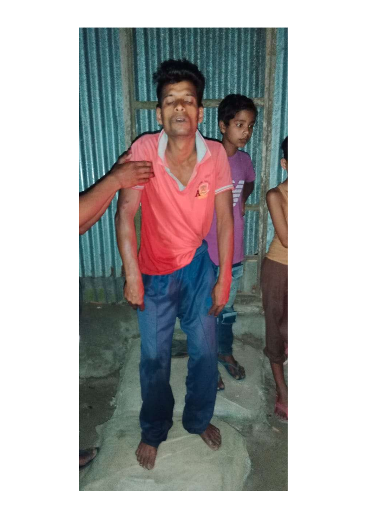